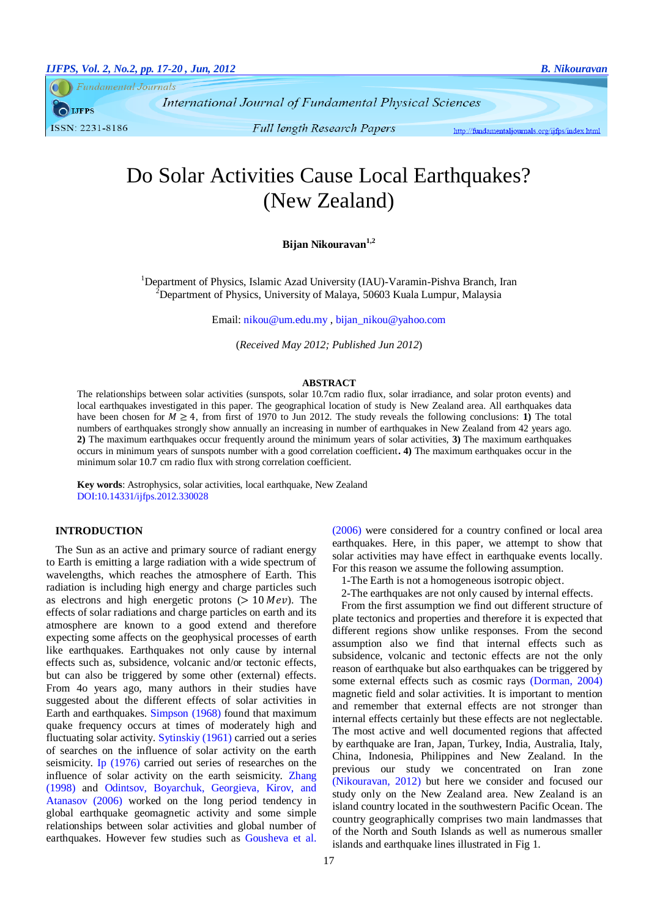**Fundamental Journals** 

International Journal of Fundamental Physical Sciences

**IJFPS** ISSN: 2231-8186

**Full length Research Papers** 

http://fundamentaljournals.org/ijfps/index.html

# Do Solar Activities Cause Local Earthquakes? (New Zealand)

# **Bijan Nikouravan1,2**

<sup>1</sup>Department of Physics, Islamic Azad University (IAU)-Varamin-Pishva Branch, Iran <sup>2</sup>Department of Physics, University of Malaya, 50603 Kuala Lumpur, Malaysia

Email[: nikou@um.edu.my](mailto:nikou@um.edu.my) , [bijan\\_nikou@yahoo.com](file:///H:\1-Fundamental%20Journals%20(IJFPS-IJFPSS)\1-Fundamental%20Journals%20%20(IJFPS-ISFPSS)%20March%202012\1-IJFPS\2-Year%202-2012%20%20IJPFS\2012-%20N2%20(IJFPS)\29-Bijan\7-%20Final\bijan_nikou@yahoo.com)

(*Received May 2012; Published Jun 2012*)

#### **ABSTRACT**

The relationships between solar activities (sunspots, solar 10.7cm radio flux, solar irradiance, and solar proton events) and local earthquakes investigated in this paper. The geographical location of study is New Zealand area. All earthquakes data have been chosen for  $M \geq 4$ , from first of 1970 to Jun 2012. The study reveals the following conclusions: **1**) The total numbers of earthquakes strongly show annually an increasing in number of earthquakes in New Zealand from 42 years ago. **2)** The maximum earthquakes occur frequently around the minimum years of solar activities, **3)** The maximum earthquakes occurs in minimum years of sunspots number with a good correlation coefficient**. 4)** The maximum earthquakes occur in the minimum solar 10.7 cm radio flux with strong correlation coefficient.

**Key words**: Astrophysics, solar activities, local earthquake, New Zealand DOI:10.14331/ijfps.2012.330028

## **INTRODUCTION**

The Sun as an active and primary source of radiant energy to Earth is emitting a large radiation with a wide spectrum of wavelengths, which reaches the atmosphere of Earth. This radiation is including high energy and charge particles such as electrons and high energetic protons  $(> 10 \text{ MeV})$ . The effects of solar radiations and charge particles on earth and its atmosphere are known to a good extend and therefore expecting some affects on the geophysical processes of earth like earthquakes. Earthquakes not only cause by internal effects such as, subsidence, volcanic and/or tectonic effects, but can also be triggered by some other (external) effects. From 4o years ago, many authors in their studies have suggested about the different effects of solar activities in Earth and earthquakes. [Simpson](#page-3-0) (1968) found that maximum quake frequency occurs at times of moderately high and fluctuating solar activity. [S](#page-3-1)ytinskiy [\(1961\)](#page-3-1) carried out a series of searches on the influence of solar activity on the earth seismicity. [Ip \(1976\)](#page-3-2) carried out series of researches on the influence of solar activity on the earth seismicity. [Zhang](#page-3-3)  [\(1998\)](#page-3-3) and [Odintsov, Boyarchuk, Georgieva, Kirov, and](#page-3-4)  [Atanasov \(2006\)](#page-3-4) worked on the long period tendency in global earthquake geomagnetic activity and some simple relationships between solar activities and global number of earthquakes. However few studies such as [Gousheva et al.](#page-3-5)  [\(2006\)](#page-3-5) were considered for a country confined or local area earthquakes. Here, in this paper, we attempt to show that solar activities may have effect in earthquake events locally. For this reason we assume the following assumption.

1-The Earth is not a homogeneous isotropic object.

2-The earthquakes are not only caused by internal effects.

From the first assumption we find out different structure of plate tectonics and properties and therefore it is expected that different regions show unlike responses. From the second assumption also we find that internal effects such as subsidence, volcanic and tectonic effects are not the only reason of earthquake but also earthquakes can be triggered by some external effects such as cosmic rays [\(Dorman, 2004\)](#page-3-6) magnetic field and solar activities. It is important to mention and remember that external effects are not stronger than internal effects certainly but these effects are not neglectable. The most active and well documented regions that affected by earthquake are Iran, Japan, Turkey, India, Australia, Italy, China, Indonesia, Philippines and New Zealand. In the previous our study we concentrated on Iran zone [\(Nikouravan, 2012\)](#page-3-7) but here we consider and focused our study only on the New Zealand area. New Zealand is an island country located in the southwestern Pacific Ocean. The country geographically comprises two main landmasses that of the North and South Islands as well as numerous smaller islands and earthquake lines illustrated in Fig 1.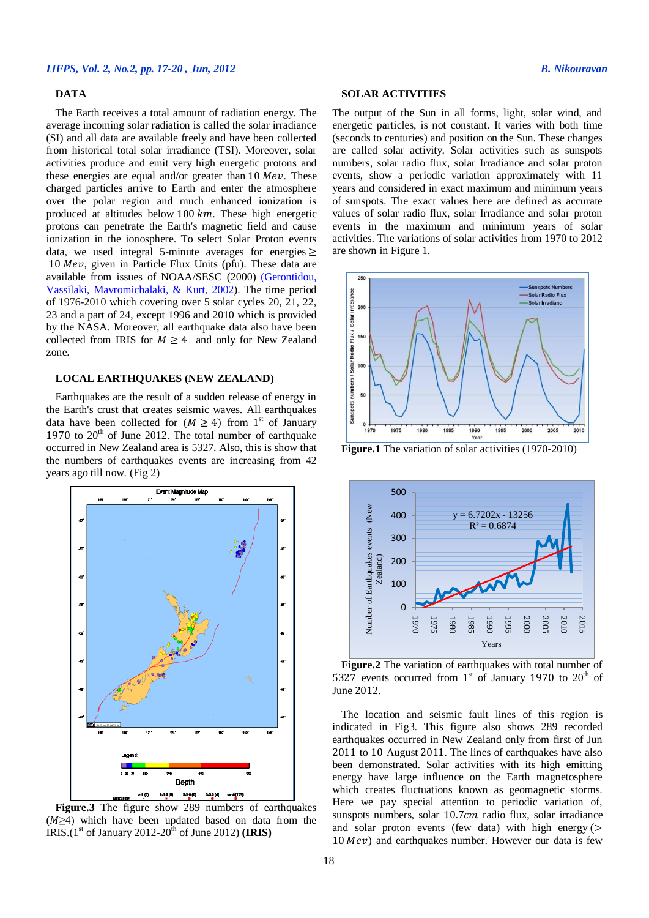### **DATA**

The Earth receives a total amount of radiation energy. The average incoming solar radiation is called the solar irradiance (SI) and all data are available freely and have been collected from historical total solar irradiance (TSI). Moreover, solar activities produce and emit very high energetic protons and these energies are equal and/or greater than  $10$  Mev. These charged particles arrive to Earth and enter the atmosphere over the polar region and much enhanced ionization is produced at altitudes below 100  $km$ . These high energetic protons can penetrate the Earth's magnetic field and cause ionization in the ionosphere. To select Solar Proton events data, we used integral 5-minute averages for energies  $\geq$  $10 \text{ MeV}$ , given in Particle Flux Units (pfu). These data are available from issues of NOAA/SESC (2000) [\(Gerontidou,](#page-3-8)  [Vassilaki, Mavromichalaki, & Kurt, 2002\)](#page-3-8). The time period of 1976-2010 which covering over 5 solar cycles 20, 21, 22, 23 and a part of 24, except 1996 and 2010 which is provided by the NASA. Moreover, all earthquake data also have been collected from IRIS for  $M \geq 4$  and only for New Zealand zone.

#### **LOCAL EARTHQUAKES (NEW ZEALAND)**

Earthquakes are the result of a sudden release of energy in the Earth's crust that creates seismic waves. All earthquakes data have been collected for  $(M \ge 4)$  from 1<sup>st</sup> of January 1970 to  $20<sup>th</sup>$  of June 2012. The total number of earthquake occurred in New Zealand area is 5327. Also, this is show that the numbers of earthquakes events are increasing from 42 years ago till now. (Fig 2)



**Figure.3** The figure show 289 numbers of earthquakes  $(M \geq 4)$  which have been updated based on data from the IRIS.( $1<sup>st</sup>$  of January 2012-20<sup>th</sup> of June 2012) **(IRIS)** 

#### **SOLAR ACTIVITIES**

The output of the Sun in all forms, light, solar wind, and energetic particles, is not constant. It varies with both time (seconds to centuries) and position on the Sun. These changes are called solar activity. Solar activities such as sunspots numbers, solar radio flux, solar Irradiance and solar proton events, show a periodic variation approximately with 11 years and considered in exact maximum and minimum years of sunspots. The exact values here are defined as accurate values of solar radio flux, solar Irradiance and solar proton events in the maximum and minimum years of solar activities. The variations of solar activities from 1970 to 2012 are shown in Figure 1.



**Figure.1** The variation of solar activities (1970-2010)



**Figure.2** The variation of earthquakes with total number of 5327 events occurred from  $1<sup>st</sup>$  of January 1970 to  $20<sup>th</sup>$  of June 2012.

The location and seismic fault lines of this region is indicated in Fig3. This figure also shows 289 recorded earthquakes occurred in New Zealand only from first of Jun 2011 to 10 August 2011. The lines of earthquakes have also been demonstrated. Solar activities with its high emitting energy have large influence on the Earth magnetosphere which creates fluctuations known as geomagnetic storms. Here we pay special attention to periodic variation of, sunspots numbers, solar 10.7cm radio flux, solar irradiance and solar proton events (few data) with high energy  $($  $10 \,Mev$ ) and earthquakes number. However our data is few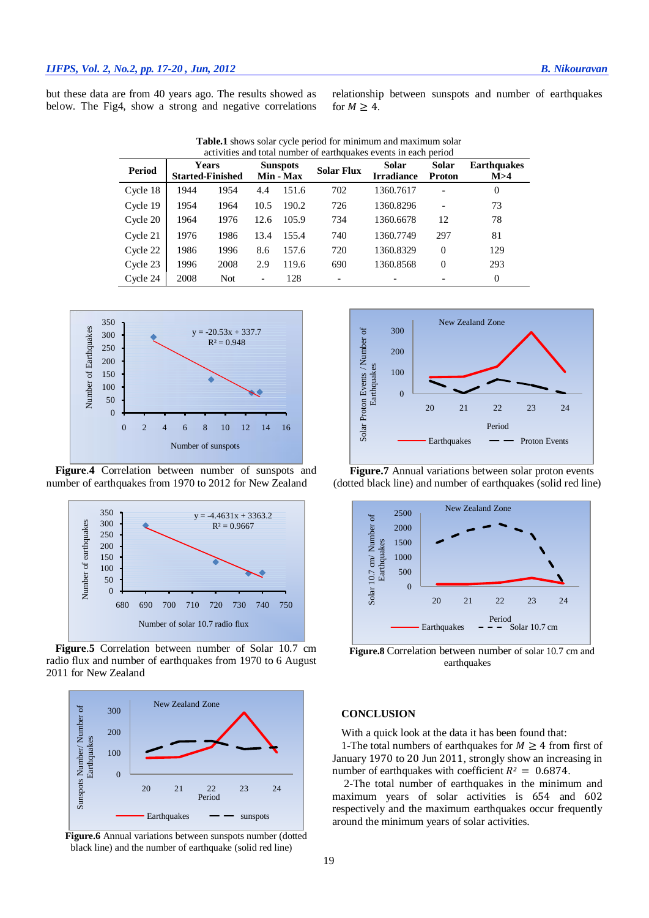but these data are from 40 years ago. The results showed as below. The Fig4, show a strong and negative correlations relationship between sunspots and number of earthquakes for  $M \geq 4$ .

| actritics and total named of cartitagates cyclits in cach befrod |                                         |            |                              |       |                   |                            |                               |                             |
|------------------------------------------------------------------|-----------------------------------------|------------|------------------------------|-------|-------------------|----------------------------|-------------------------------|-----------------------------|
| Period                                                           | <b>Years</b><br><b>Started-Finished</b> |            | <b>Sunspots</b><br>Min - Max |       | <b>Solar Flux</b> | Solar<br><b>Irradiance</b> | <b>Solar</b><br><b>Proton</b> | <b>Earthquakes</b><br>M > 4 |
| Cycle 18                                                         | 1944                                    | 1954       | 4.4                          | 151.6 | 702               | 1360.7617                  |                               | $\theta$                    |
| Cycle 19                                                         | 1954                                    | 1964       | 10.5                         | 190.2 | 726               | 1360.8296                  |                               | 73                          |
| Cycle 20                                                         | 1964                                    | 1976       | 12.6                         | 105.9 | 734               | 1360.6678                  | 12                            | 78                          |
| Cycle 21                                                         | 1976                                    | 1986       | 13.4                         | 155.4 | 740               | 1360.7749                  | 297                           | 81                          |
| Cycle 22                                                         | 1986                                    | 1996       | 8.6                          | 157.6 | 720               | 1360.8329                  | $\Omega$                      | 129                         |
| Cycle 23                                                         | 1996                                    | 2008       | 2.9                          | 119.6 | 690               | 1360.8568                  | $\Omega$                      | 293                         |
| Cycle 24                                                         | 2008                                    | <b>Not</b> | $\overline{a}$               | 128   |                   |                            |                               | $\Omega$                    |

**Table.1** shows solar cycle period for minimum and maximum solar activities and total number of earthquakes events in each period



**Figure**.**4** Correlation between number of sunspots and number of earthquakes from 1970 to 2012 for New Zealand



**Figure**.**5** Correlation between number of Solar 10.7 cm radio flux and number of earthquakes from 1970 to 6 August 2011 for New Zealand



**Figure.6** Annual variations between sunspots number (dotted black line) and the number of earthquake (solid red line)



**Figure.7** Annual variations between solar proton events (dotted black line) and number of earthquakes (solid red line)



**Figure.8** Correlation between number of solar 10.7 cm and earthquakes

### **CONCLUSION**

With a quick look at the data it has been found that:

1-The total numbers of earthquakes for  $M \geq 4$  from first of January 1970 to 20 Jun 2011, strongly show an increasing in number of earthquakes with coefficient  $R^2 = 0.6874$ .

2-The total number of earthquakes in the minimum and maximum years of solar activities is 654 and 602 respectively and the maximum earthquakes occur frequently around the minimum years of solar activities.